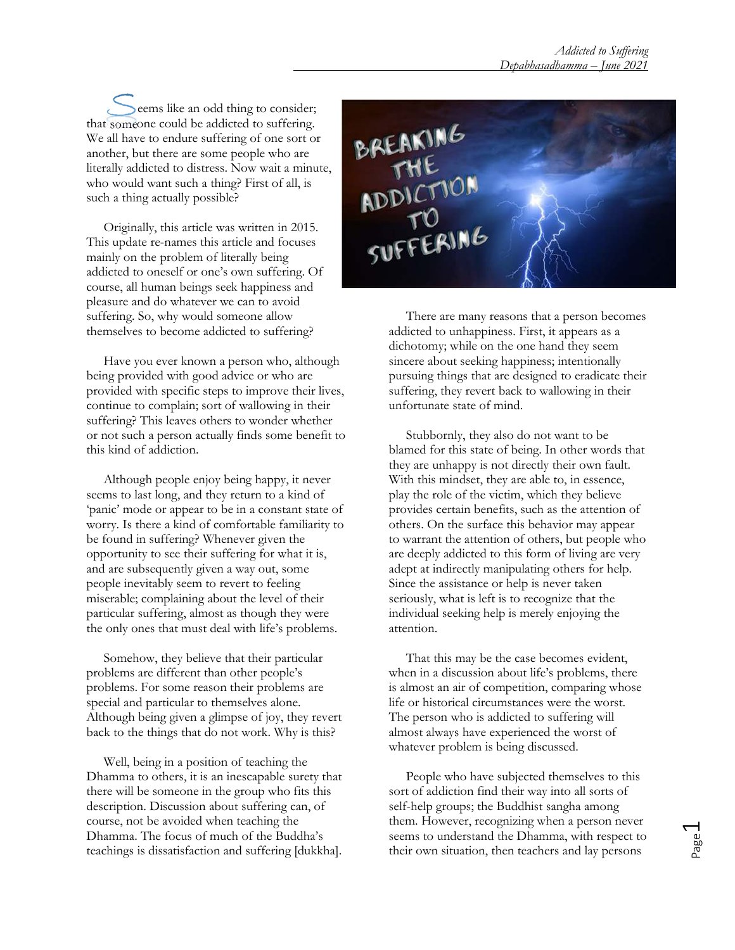eems like an odd thing to consider; that someone could be addicted to suffering. We all have to endure suffering of one sort or another, but there are some people who are literally addicted to distress. Now wait a minute, who would want such a thing? First of all, is such a thing actually possible?

 Originally, this article was written in 2015. This update re-names this article and focuses mainly on the problem of literally being addicted to oneself or one's own suffering. Of course, all human beings seek happiness and pleasure and do whatever we can to avoid suffering. So, why would someone allow themselves to become addicted to suffering?

 Have you ever known a person who, although being provided with good advice or who are provided with specific steps to improve their lives, continue to complain; sort of wallowing in their suffering? This leaves others to wonder whether or not such a person actually finds some benefit to this kind of addiction.

 Although people enjoy being happy, it never seems to last long, and they return to a kind of 'panic' mode or appear to be in a constant state of worry. Is there a kind of comfortable familiarity to be found in suffering? Whenever given the opportunity to see their suffering for what it is, and are subsequently given a way out, some people inevitably seem to revert to feeling miserable; complaining about the level of their particular suffering, almost as though they were the only ones that must deal with life's problems.

 Somehow, they believe that their particular problems are different than other people's problems. For some reason their problems are special and particular to themselves alone. Although being given a glimpse of joy, they revert back to the things that do not work. Why is this?

 Well, being in a position of teaching the Dhamma to others, it is an inescapable surety that there will be someone in the group who fits this description. Discussion about suffering can, of course, not be avoided when teaching the Dhamma. The focus of much of the Buddha's teachings is dissatisfaction and suffering [dukkha].



 There are many reasons that a person becomes addicted to unhappiness. First, it appears as a dichotomy; while on the one hand they seem sincere about seeking happiness; intentionally pursuing things that are designed to eradicate their suffering, they revert back to wallowing in their unfortunate state of mind.

Stubbornly, they also do not want to be blamed for this state of being. In other words that they are unhappy is not directly their own fault. With this mindset, they are able to, in essence, play the role of the victim, which they believe provides certain benefits, such as the attention of others. On the surface this behavior may appear to warrant the attention of others, but people who are deeply addicted to this form of living are very adept at indirectly manipulating others for help. Since the assistance or help is never taken seriously, what is left is to recognize that the individual seeking help is merely enjoying the attention.

 That this may be the case becomes evident, when in a discussion about life's problems, there is almost an air of competition, comparing whose life or historical circumstances were the worst. The person who is addicted to suffering will almost always have experienced the worst of whatever problem is being discussed.

 People who have subjected themselves to this sort of addiction find their way into all sorts of self-help groups; the Buddhist sangha among them. However, recognizing when a person never seems to understand the Dhamma, with respect to their own situation, then teachers and lay persons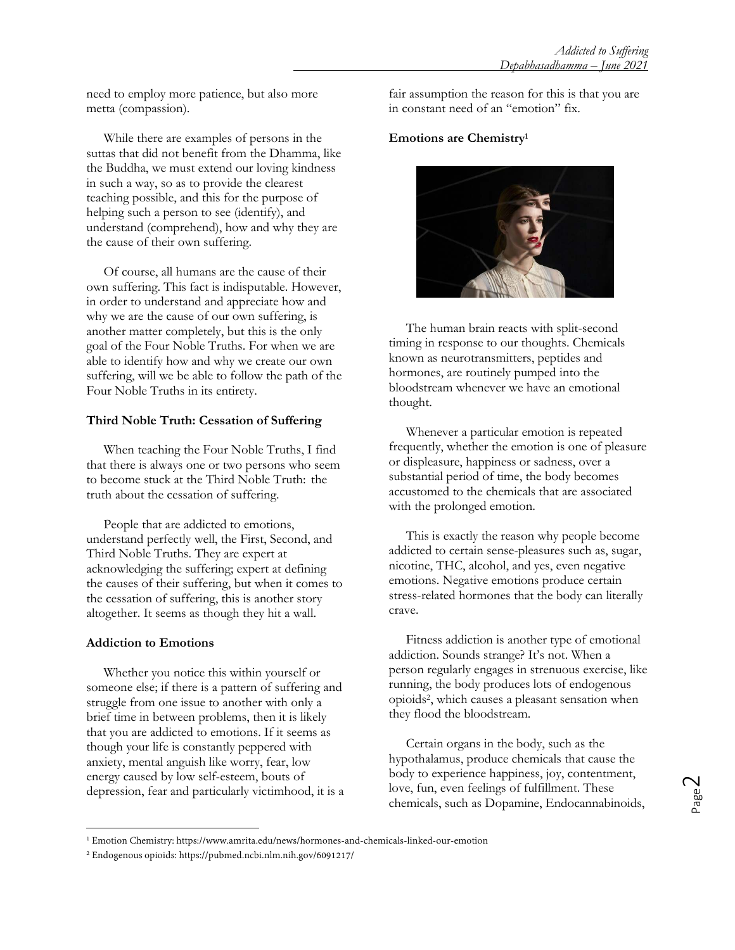need to employ more patience, but also more metta (compassion).

While there are examples of persons in the suttas that did not benefit from the Dhamma, like the Buddha, we must extend our loving kindness in such a way, so as to provide the clearest teaching possible, and this for the purpose of helping such a person to see (identify), and understand (comprehend), how and why they are the cause of their own suffering.

 Of course, all humans are the cause of their own suffering. This fact is indisputable. However, in order to understand and appreciate how and why we are the cause of our own suffering, is another matter completely, but this is the only goal of the Four Noble Truths. For when we are able to identify how and why we create our own suffering, will we be able to follow the path of the Four Noble Truths in its entirety.

## **Third Noble Truth: Cessation of Suffering**

 When teaching the Four Noble Truths, I find that there is always one or two persons who seem to become stuck at the Third Noble Truth: the truth about the cessation of suffering.

 People that are addicted to emotions, understand perfectly well, the First, Second, and Third Noble Truths. They are expert at acknowledging the suffering; expert at defining the causes of their suffering, but when it comes to the cessation of suffering, this is another story altogether. It seems as though they hit a wall.

## **Addiction to Emotions**

 $\overline{a}$ 

 Whether you notice this within yourself or someone else; if there is a pattern of suffering and struggle from one issue to another with only a brief time in between problems, then it is likely that you are addicted to emotions. If it seems as though your life is constantly peppered with anxiety, mental anguish like worry, fear, low energy caused by low self-esteem, bouts of depression, fear and particularly victimhood, it is a fair assumption the reason for this is that you are in constant need of an "emotion" fix.

### **Emotions are Chemistry<sup>1</sup>**



 The human brain reacts with split-second timing in response to our thoughts. Chemicals known as neurotransmitters, peptides and hormones, are routinely pumped into the bloodstream whenever we have an emotional thought.

 Whenever a particular emotion is repeated frequently, whether the emotion is one of pleasure or displeasure, happiness or sadness, over a substantial period of time, the body becomes accustomed to the chemicals that are associated with the prolonged emotion.

 This is exactly the reason why people become addicted to certain sense-pleasures such as, sugar, nicotine, THC, alcohol, and yes, even negative emotions. Negative emotions produce certain stress-related hormones that the body can literally crave.

 Fitness addiction is another type of emotional addiction. Sounds strange? It's not. When a person regularly engages in strenuous exercise, like running, the body produces lots of endogenous opioids<sup>2</sup> , which causes a pleasant sensation when they flood the bloodstream.

Certain organs in the body, such as the hypothalamus, produce chemicals that cause the body to experience happiness, joy, contentment, love, fun, even feelings of fulfillment. These chemicals, such as Dopamine, Endocannabinoids,

<sup>1</sup> Emotion Chemistry: https://www.amrita.edu/news/hormones-and-chemicals-linked-our-emotion

<sup>2</sup> Endogenous opioids: https://pubmed.ncbi.nlm.nih.gov/6091217/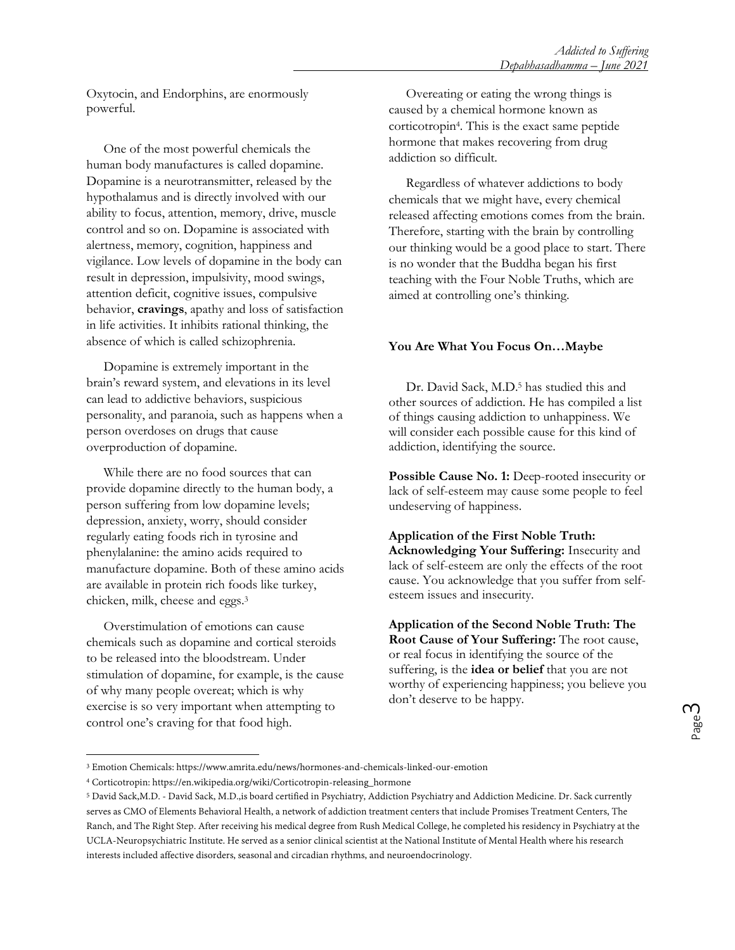Oxytocin, and Endorphins, are enormously powerful.

 One of the most powerful chemicals the human body manufactures is called dopamine. Dopamine is a neurotransmitter, released by the hypothalamus and is directly involved with our ability to focus, attention, memory, drive, muscle control and so on. Dopamine is associated with alertness, memory, cognition, happiness and vigilance. Low levels of dopamine in the body can result in depression, impulsivity, mood swings, attention deficit, cognitive issues, compulsive behavior, **cravings**, apathy and loss of satisfaction in life activities. It inhibits rational thinking, the absence of which is called schizophrenia.

Dopamine is extremely important in the brain's reward system, and elevations in its level can lead to addictive behaviors, suspicious personality, and paranoia, such as happens when a person overdoses on drugs that cause overproduction of dopamine.

While there are no food sources that can provide dopamine directly to the human body, a person suffering from low dopamine levels; depression, anxiety, worry, should consider regularly eating foods rich in tyrosine and phenylalanine: the amino acids required to manufacture dopamine. Both of these amino acids are available in protein rich foods like turkey, chicken, milk, cheese and eggs.<sup>3</sup>

Overstimulation of emotions can cause chemicals such as dopamine and cortical steroids to be released into the bloodstream. Under stimulation of dopamine, for example, is the cause of why many people overeat; which is why exercise is so very important when attempting to control one's craving for that food high.

 $\overline{a}$ 

Overeating or eating the wrong things is caused by a chemical hormone known as corticotropin<sup>4</sup> . This is the exact same peptide hormone that makes recovering from drug addiction so difficult.

Regardless of whatever addictions to body chemicals that we might have, every chemical released affecting emotions comes from the brain. Therefore, starting with the brain by controlling our thinking would be a good place to start. There is no wonder that the Buddha began his first teaching with the Four Noble Truths, which are aimed at controlling one's thinking.

## **You Are What You Focus On…Maybe**

Dr. David Sack, M.D.<sup>5</sup> has studied this and other sources of addiction. He has compiled a list of things causing addiction to unhappiness. We will consider each possible cause for this kind of addiction, identifying the source.

Possible Cause No. 1: Deep-rooted insecurity or lack of self-esteem may cause some people to feel undeserving of happiness.

**Application of the First Noble Truth: Acknowledging Your Suffering:** Insecurity and lack of self-esteem are only the effects of the root cause. You acknowledge that you suffer from selfesteem issues and insecurity.

**Application of the Second Noble Truth: The Root Cause of Your Suffering:** The root cause, or real focus in identifying the source of the suffering, is the **idea or belief** that you are not worthy of experiencing happiness; you believe you don't deserve to be happy.

<sup>3</sup> Emotion Chemicals: https://www.amrita.edu/news/hormones-and-chemicals-linked-our-emotion

<sup>4</sup> Corticotropin: https://en.wikipedia.org/wiki/Corticotropin-releasing\_hormone

<sup>5</sup> David Sack,M.D. - David Sack, M.D.,is board certified in Psychiatry, Addiction Psychiatry and Addiction Medicine. Dr. Sack currently serves as CMO of Elements Behavioral Health, a network of addiction treatment centers that include Promises Treatment Centers, The Ranch, and The Right Step. After receiving his medical degree from Rush Medical College, he completed his residency in Psychiatry at the UCLA-Neuropsychiatric Institute. He served as a senior clinical scientist at the National Institute of Mental Health where his research interests included affective disorders, seasonal and circadian rhythms, and neuroendocrinology.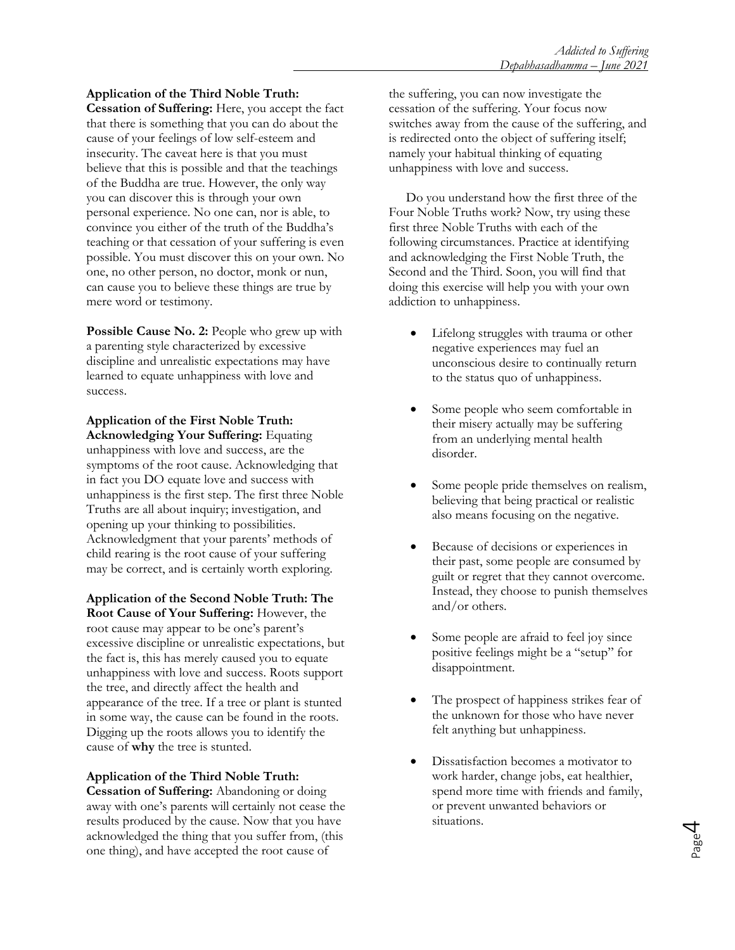# **Application of the Third Noble Truth:**

**Cessation of Suffering:** Here, you accept the fact that there is something that you can do about the cause of your feelings of low self-esteem and insecurity. The caveat here is that you must believe that this is possible and that the teachings of the Buddha are true. However, the only way you can discover this is through your own personal experience. No one can, nor is able, to convince you either of the truth of the Buddha's teaching or that cessation of your suffering is even possible. You must discover this on your own. No one, no other person, no doctor, monk or nun, can cause you to believe these things are true by mere word or testimony.

**Possible Cause No. 2:** People who grew up with a parenting style characterized by excessive discipline and unrealistic expectations may have learned to equate unhappiness with love and success.

**Application of the First Noble Truth: Acknowledging Your Suffering:** Equating unhappiness with love and success, are the symptoms of the root cause. Acknowledging that in fact you DO equate love and success with unhappiness is the first step. The first three Noble Truths are all about inquiry; investigation, and opening up your thinking to possibilities. Acknowledgment that your parents' methods of child rearing is the root cause of your suffering may be correct, and is certainly worth exploring.

**Application of the Second Noble Truth: The Root Cause of Your Suffering:** However, the root cause may appear to be one's parent's excessive discipline or unrealistic expectations, but the fact is, this has merely caused you to equate unhappiness with love and success. Roots support the tree, and directly affect the health and appearance of the tree. If a tree or plant is stunted in some way, the cause can be found in the roots. Digging up the roots allows you to identify the cause of **why** the tree is stunted.

## **Application of the Third Noble Truth:**

**Cessation of Suffering:** Abandoning or doing away with one's parents will certainly not cease the results produced by the cause. Now that you have acknowledged the thing that you suffer from, (this one thing), and have accepted the root cause of

the suffering, you can now investigate the cessation of the suffering. Your focus now switches away from the cause of the suffering, and is redirected onto the object of suffering itself; namely your habitual thinking of equating unhappiness with love and success.

 Do you understand how the first three of the Four Noble Truths work? Now, try using these first three Noble Truths with each of the following circumstances. Practice at identifying and acknowledging the First Noble Truth, the Second and the Third. Soon, you will find that doing this exercise will help you with your own addiction to unhappiness.

- Lifelong struggles with trauma or other negative experiences may fuel an unconscious desire to continually return to the status quo of unhappiness.
- Some people who seem comfortable in their misery actually may be suffering from an underlying mental health disorder.
- Some people pride themselves on realism, believing that being practical or realistic also means focusing on the negative.
- Because of decisions or experiences in their past, some people are consumed by guilt or regret that they cannot overcome. Instead, they choose to punish themselves and/or others.
- Some people are afraid to feel joy since positive feelings might be a "setup" for disappointment.
- The prospect of happiness strikes fear of the unknown for those who have never felt anything but unhappiness.
- Dissatisfaction becomes a motivator to work harder, change jobs, eat healthier, spend more time with friends and family, or prevent unwanted behaviors or situations.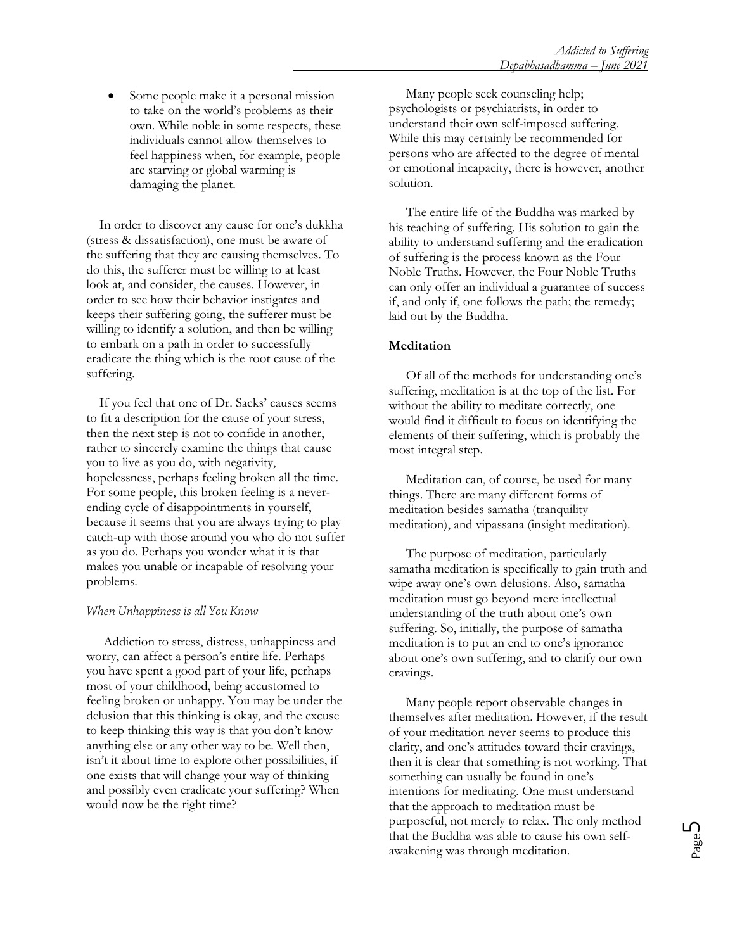Some people make it a personal mission to take on the world's problems as their own. While noble in some respects, these individuals cannot allow themselves to feel happiness when, for example, people are starving or global warming is damaging the planet.

In order to discover any cause for one's dukkha (stress & dissatisfaction), one must be aware of the suffering that they are causing themselves. To do this, the sufferer must be willing to at least look at, and consider, the causes. However, in order to see how their behavior instigates and keeps their suffering going, the sufferer must be willing to identify a solution, and then be willing to embark on a path in order to successfully eradicate the thing which is the root cause of the suffering.

If you feel that one of Dr. Sacks' causes seems to fit a description for the cause of your stress, then the next step is not to confide in another, rather to sincerely examine the things that cause you to live as you do, with negativity, hopelessness, perhaps feeling broken all the time. For some people, this broken feeling is a neverending cycle of disappointments in yourself, because it seems that you are always trying to play catch-up with those around you who do not suffer as you do. Perhaps you wonder what it is that makes you unable or incapable of resolving your problems.

## When Unhappiness is all You Know

 Addiction to stress, distress, unhappiness and worry, can affect a person's entire life. Perhaps you have spent a good part of your life, perhaps most of your childhood, being accustomed to feeling broken or unhappy. You may be under the delusion that this thinking is okay, and the excuse to keep thinking this way is that you don't know anything else or any other way to be. Well then, isn't it about time to explore other possibilities, if one exists that will change your way of thinking and possibly even eradicate your suffering? When would now be the right time?

 Many people seek counseling help; psychologists or psychiatrists, in order to understand their own self-imposed suffering. While this may certainly be recommended for persons who are affected to the degree of mental or emotional incapacity, there is however, another solution.

 The entire life of the Buddha was marked by his teaching of suffering. His solution to gain the ability to understand suffering and the eradication of suffering is the process known as the Four Noble Truths. However, the Four Noble Truths can only offer an individual a guarantee of success if, and only if, one follows the path; the remedy; laid out by the Buddha.

### **Meditation**

 Of all of the methods for understanding one's suffering, meditation is at the top of the list. For without the ability to meditate correctly, one would find it difficult to focus on identifying the elements of their suffering, which is probably the most integral step.

 Meditation can, of course, be used for many things. There are many different forms of meditation besides samatha (tranquility meditation), and vipassana (insight meditation).

 The purpose of meditation, particularly samatha meditation is specifically to gain truth and wipe away one's own delusions. Also, samatha meditation must go beyond mere intellectual understanding of the truth about one's own suffering. So, initially, the purpose of samatha meditation is to put an end to one's ignorance about one's own suffering, and to clarify our own cravings.

 Many people report observable changes in themselves after meditation. However, if the result of your meditation never seems to produce this clarity, and one's attitudes toward their cravings, then it is clear that something is not working. That something can usually be found in one's intentions for meditating. One must understand that the approach to meditation must be purposeful, not merely to relax. The only method that the Buddha was able to cause his own selfawakening was through meditation.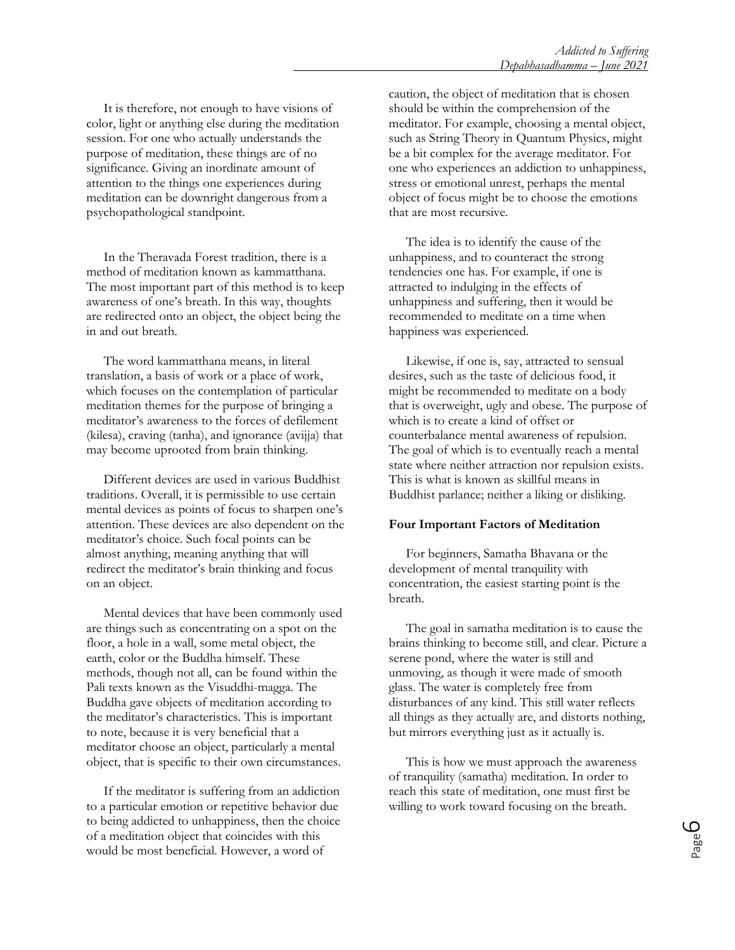It is therefore, not enough to have visions of color, light or anything else during the meditation session. For one who actually understands the purpose of meditation, these things are of no significance. Giving an inordinate amount of attention to the things one experiences during meditation can be downright dangerous from a psychopathological standpoint.

In the Theravada Forest tradition, there is a method of meditation known as kammatthana. The most important part of this method is to keep awareness of one's breath. In this way, thoughts are redirected onto an object, the object being the in and out breath.

The word kammatthana means, in literal translation, a basis of work or a place of work, which focuses on the contemplation of particular meditation themes for the purpose of bringing a meditator's awareness to the forces of defilement (kilesa), craving (tanha), and ignorance (avijja) that may become uprooted from brain thinking.

Different devices are used in various Buddhist traditions. Overall, it is permissible to use certain mental devices as points of focus to sharpen one's attention. These devices are also dependent on the meditator's choice. Such focal points can be almost anything, meaning anything that will redirect the meditator's brain thinking and focus on an object.

Mental devices that have been commonly used are things such as concentrating on a spot on the floor, a hole in a wall, some metal object, the earth, color or the Buddha himself. These methods, though not all, can be found within the Pali texts known as the Visuddhi-magga. The Buddha gave objects of meditation according to the meditator's characteristics. This is important to note, because it is very beneficial that a meditator choose an object, particularly a mental object, that is specific to their own circumstances.

If the meditator is suffering from an addiction to a particular emotion or repetitive behavior due to being addicted to unhappiness, then the choice of a meditation object that coincides with this would be most beneficial. However, a word of

caution, the object of meditation that is chosen should be within the comprehension of the meditator. For example, choosing a mental object, such as String Theory in Quantum Physics, might be a bit complex for the average meditator. For one who experiences an addiction to unhappiness, stress or emotional unrest, perhaps the mental object of focus might be to choose the emotions that are most recursive.

The idea is to identify the cause of the unhappiness, and to counteract the strong tendencies one has. For example, if one is attracted to indulging in the effects of unhappiness and suffering, then it would be recommended to meditate on a time when happiness was experienced.

Likewise, if one is, say, attracted to sensual desires, such as the taste of delicious food, it might be recommended to meditate on a body that is overweight, ugly and obese. The purpose of which is to create a kind of offset or counterbalance mental awareness of repulsion. The goal of which is to eventually reach a mental state where neither attraction nor repulsion exists. This is what is known as skillful means in Buddhist parlance; neither a liking or disliking.

#### **Four Important Factors of Meditation**

 For beginners, Samatha Bhavana or the development of mental tranquility with concentration, the easiest starting point is the breath.

 The goal in samatha meditation is to cause the brains thinking to become still, and clear. Picture a serene pond, where the water is still and unmoving, as though it were made of smooth glass. The water is completely free from disturbances of any kind. This still water reflects all things as they actually are, and distorts nothing, but mirrors everything just as it actually is.

 This is how we must approach the awareness of tranquility (samatha) meditation. In order to reach this state of meditation, one must first be willing to work toward focusing on the breath.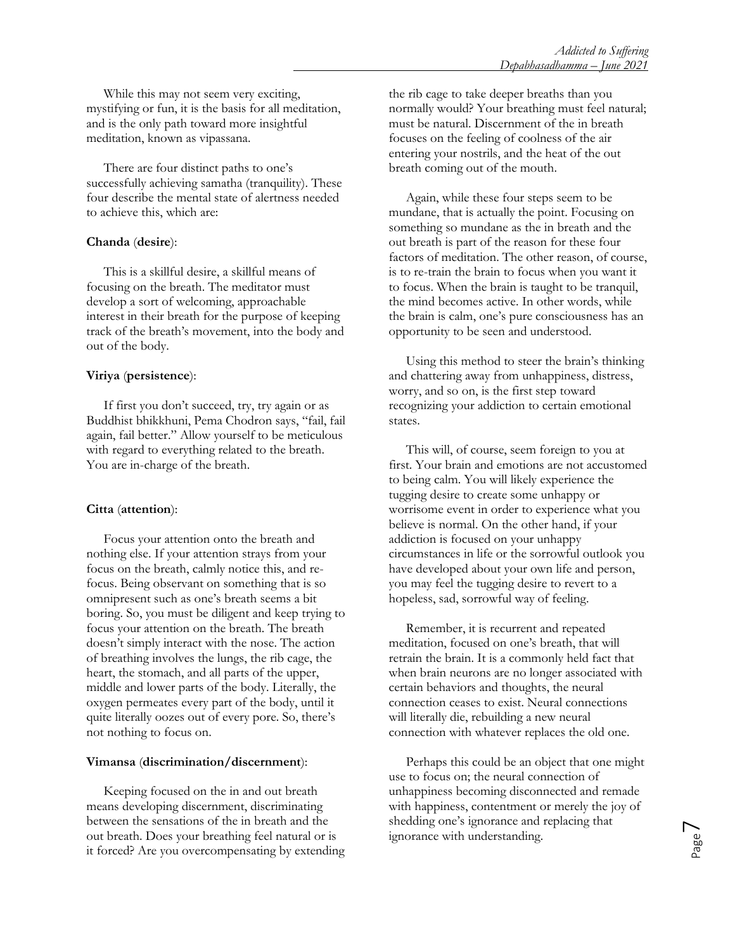While this may not seem very exciting, mystifying or fun, it is the basis for all meditation, and is the only path toward more insightful meditation, known as vipassana.

 There are four distinct paths to one's successfully achieving samatha (tranquility). These four describe the mental state of alertness needed to achieve this, which are:

### **Chanda** (**desire**):

This is a skillful desire, a skillful means of focusing on the breath. The meditator must develop a sort of welcoming, approachable interest in their breath for the purpose of keeping track of the breath's movement, into the body and out of the body.

### **Viriya** (**persistence**):

If first you don't succeed, try, try again or as Buddhist bhikkhuni, Pema Chodron says, "fail, fail again, fail better." Allow yourself to be meticulous with regard to everything related to the breath. You are in-charge of the breath.

## **Citta** (**attention**):

Focus your attention onto the breath and nothing else. If your attention strays from your focus on the breath, calmly notice this, and refocus. Being observant on something that is so omnipresent such as one's breath seems a bit boring. So, you must be diligent and keep trying to focus your attention on the breath. The breath doesn't simply interact with the nose. The action of breathing involves the lungs, the rib cage, the heart, the stomach, and all parts of the upper, middle and lower parts of the body. Literally, the oxygen permeates every part of the body, until it quite literally oozes out of every pore. So, there's not nothing to focus on.

#### **Vimansa** (**discrimination/discernment**):

 Keeping focused on the in and out breath means developing discernment, discriminating between the sensations of the in breath and the out breath. Does your breathing feel natural or is it forced? Are you overcompensating by extending the rib cage to take deeper breaths than you normally would? Your breathing must feel natural; must be natural. Discernment of the in breath focuses on the feeling of coolness of the air entering your nostrils, and the heat of the out breath coming out of the mouth.

 Again, while these four steps seem to be mundane, that is actually the point. Focusing on something so mundane as the in breath and the out breath is part of the reason for these four factors of meditation. The other reason, of course, is to re-train the brain to focus when you want it to focus. When the brain is taught to be tranquil, the mind becomes active. In other words, while the brain is calm, one's pure consciousness has an opportunity to be seen and understood.

 Using this method to steer the brain's thinking and chattering away from unhappiness, distress, worry, and so on, is the first step toward recognizing your addiction to certain emotional states.

 This will, of course, seem foreign to you at first. Your brain and emotions are not accustomed to being calm. You will likely experience the tugging desire to create some unhappy or worrisome event in order to experience what you believe is normal. On the other hand, if your addiction is focused on your unhappy circumstances in life or the sorrowful outlook you have developed about your own life and person, you may feel the tugging desire to revert to a hopeless, sad, sorrowful way of feeling.

 Remember, it is recurrent and repeated meditation, focused on one's breath, that will retrain the brain. It is a commonly held fact that when brain neurons are no longer associated with certain behaviors and thoughts, the neural connection ceases to exist. Neural connections will literally die, rebuilding a new neural connection with whatever replaces the old one.

Perhaps this could be an object that one might use to focus on; the neural connection of unhappiness becoming disconnected and remade with happiness, contentment or merely the joy of shedding one's ignorance and replacing that ignorance with understanding.

Page<sup>7</sup>